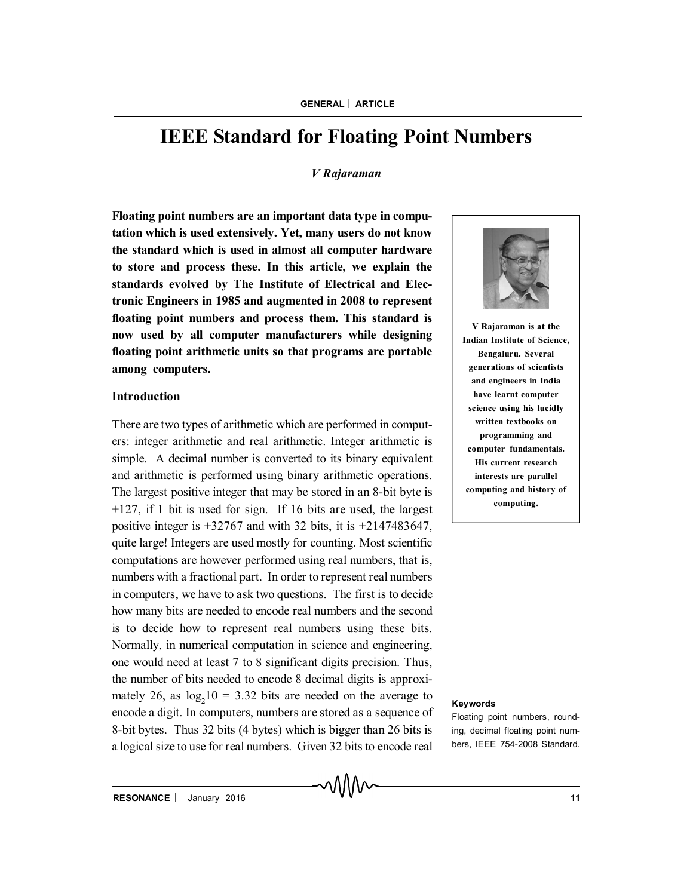# **IEEE Standard for Floating Point Numbers**

## *V Rajaraman*

**Floating point numbers are an important data type in computation which is used extensively. Yet, many users do not know the standard which is used in almost all computer hardware to store and process these. In this article, we explain the standards evolved by The Institute of Electrical and Electronic Engineers in 1985 and augmented in 2008 to represent floating point numbers and process them. This standard is now used by all computer manufacturers while designing floating point arithmetic units so that programs are portable among computers.**

#### **Introduction**

There are two types of arithmetic which are performed in computers: integer arithmetic and real arithmetic. Integer arithmetic is simple. A decimal number is converted to its binary equivalent and arithmetic is performed using binary arithmetic operations. The largest positive integer that may be stored in an 8-bit byte is +127, if 1 bit is used for sign. If 16 bits are used, the largest positive integer is  $+32767$  and with 32 bits, it is  $+2147483647$ , quite large! Integers are used mostly for counting. Most scientific computations are however performed using real numbers, that is, numbers with a fractional part. In order to represent real numbers in computers, we have to ask two questions. The first is to decide how many bits are needed to encode real numbers and the second is to decide how to represent real numbers using these bits. Normally, in numerical computation in science and engineering, one would need at least 7 to 8 significant digits precision. Thus, the number of bits needed to encode 8 decimal digits is approximately 26, as  $log_2 10 = 3.32$  bits are needed on the average to encode a digit. In computers, numbers are stored as a sequence of 8-bit bytes. Thus 32 bits (4 bytes) which is bigger than 26 bits is a logical size to use for real numbers. Given 32 bits to encode real



**V Rajaraman is at the Indian Institute of Science, Bengaluru. Several generations of scientists and engineers in India have learnt computer science using his lucidly written textbooks on programming and computer fundamentals. His current research interests are parallel computing and history of computing.**

#### **Keywords**

Floating point numbers, rounding, decimal floating point numbers, IEEE 754-2008 Standard.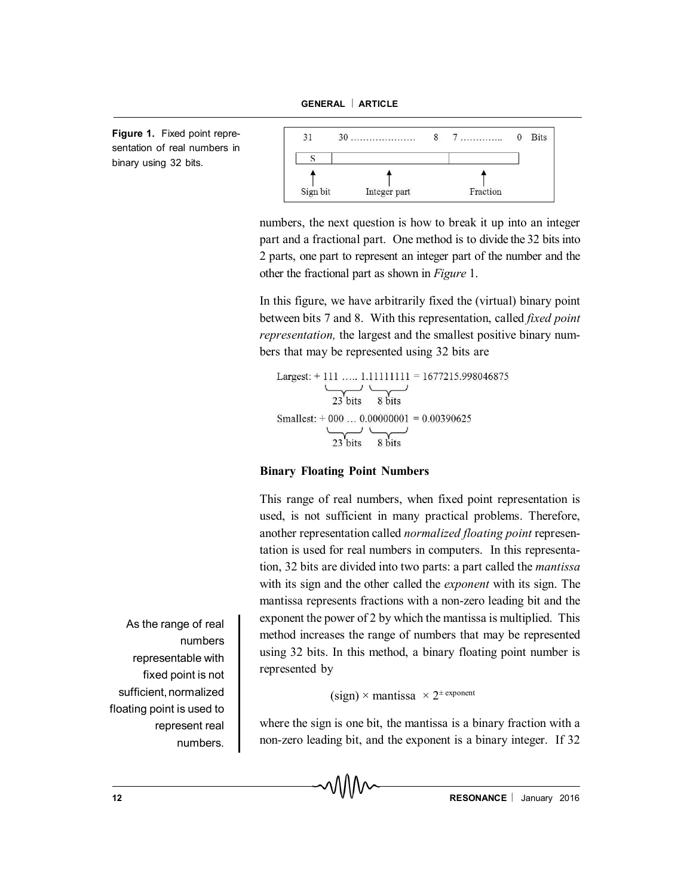**Figure 1.** Fixed point representation of real numbers in binary using 32 bits.



numbers, the next question is how to break it up into an integer part and a fractional part. One method is to divide the 32 bits into 2 parts, one part to represent an integer part of the number and the other the fractional part as shown in *Figure* 1.

In this figure, we have arbitrarily fixed the (virtual) binary point between bits 7 and 8. With this representation, called *fixed point representation,* the largest and the smallest positive binary numbers that may be represented using 32 bits are

Largest:  $+$  111 ... 1.11111111 = 1677215.998046875  $\overline{\smash{\big)}\n_{23}\smash{\big)}\n_{\text{bits}}$  8 bits Smallest:  $+000$  ...  $0.00000001 = 0.00390625$  $\overrightarrow{23 \text{ bits}}$  8 bits

## **Binary Floating Point Numbers**

This range of real numbers, when fixed point representation is used, is not sufficient in many practical problems. Therefore, another representation called *normalized floating point* representation is used for real numbers in computers. In this representation, 32 bits are divided into two parts: a part called the *mantissa* with its sign and the other called the *exponent* with its sign. The mantissa represents fractions with a non-zero leading bit and the exponent the power of 2 by which the mantissa is multiplied. This method increases the range of numbers that may be represented using 32 bits. In this method, a binary floating point number is represented by

```
(sign) \times mantissa \times 2^{\pm \text{exponent}}
```
where the sign is one bit, the mantissa is a binary fraction with a non-zero leading bit, and the exponent is a binary integer. If 32

As the range of real numbers representable with fixed point is not sufficient, normalized floating point is used to represent real numbers.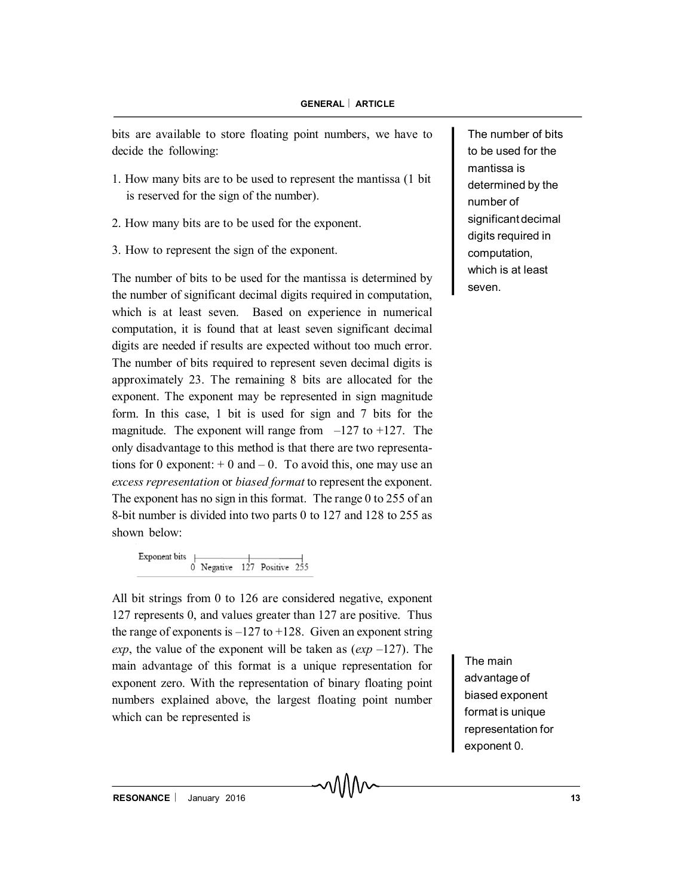bits are available to store floating point numbers, we have to decide the following:

- 1. How many bits are to be used to represent the mantissa (1 bit is reserved for the sign of the number).
- 2. How many bits are to be used for the exponent.
- 3. How to represent the sign of the exponent.

The number of bits to be used for the mantissa is determined by the number of significant decimal digits required in computation, which is at least seven. Based on experience in numerical computation, it is found that at least seven significant decimal digits are needed if results are expected without too much error. The number of bits required to represent seven decimal digits is approximately 23. The remaining 8 bits are allocated for the exponent. The exponent may be represented in sign magnitude form. In this case, 1 bit is used for sign and 7 bits for the magnitude. The exponent will range from  $-127$  to  $+127$ . The only disadvantage to this method is that there are two representations for 0 exponent:  $+ 0$  and  $- 0$ . To avoid this, one may use an *excess representation* or *biased format* to represent the exponent. The exponent has no sign in this format. The range 0 to 255 of an 8-bit number is divided into two parts 0 to 127 and 128 to 255 as shown below:

Exponent bits Negative 127 Positive

All bit strings from 0 to 126 are considered negative, exponent 127 represents 0, and values greater than 127 are positive. Thus the range of exponents is  $-127$  to  $+128$ . Given an exponent string *exp*, the value of the exponent will be taken as (*exp* –127). The main advantage of this format is a unique representation for exponent zero. With the representation of binary floating point numbers explained above, the largest floating point number which can be represented is

The number of bits to be used for the mantissa is determined by the number of significant decimal digits required in computation, which is at least seven.

The main advantage of biased exponent format is unique representation for exponent 0.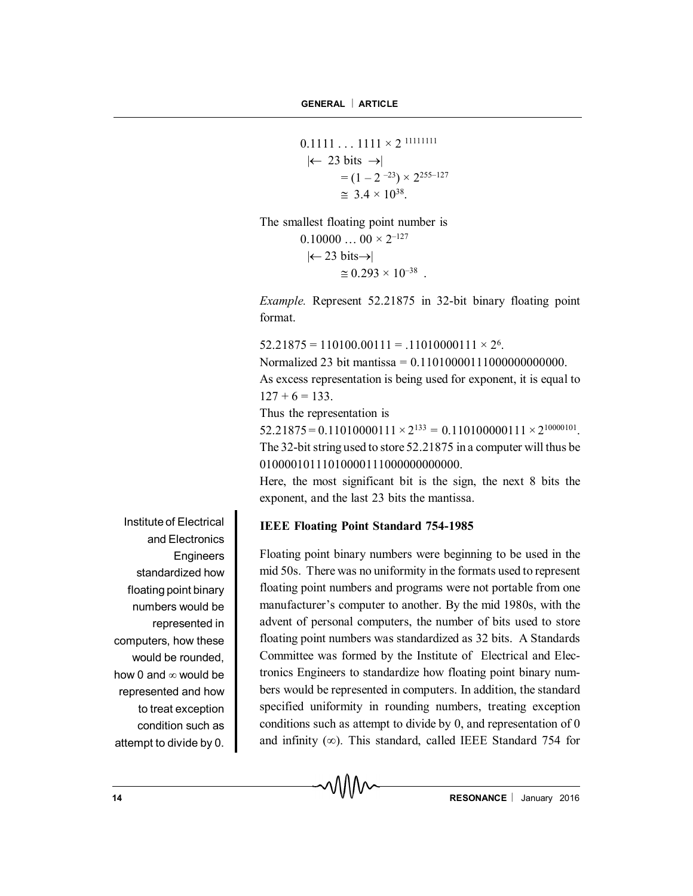$0.1111...1111 \times 2^{11111111}$  $\leftarrow$  23 bits  $\rightarrow$  $= (1 - 2^{-23}) \times 2^{255 - 127}$  $\approx 3.4 \times 10^{38}$ .

The smallest floating point number is  $0.10000...$   $00 \times 2^{-127}$  $|\leftarrow 23 \text{ bits} \rightarrow |$ 

 $\approx 0.293 \times 10^{-38}$ .

*Example.* Represent 52.21875 in 32-bit binary floating point format.

 $52.21875 = 110100.00111 = .11010000111 \times 2^6$ .

Normalized 23 bit mantissa = 0.11010000111000000000000.

As excess representation is being used for exponent, it is equal to  $127 + 6 = 133$ 

Thus the representation is

 $52.21875 = 0.11010000111 \times 2^{133} = 0.110100000111 \times 2^{10000101}.$ The 32-bit string used to store 52.21875 in a computer will thus be 01000010111010000111000000000000.

Here, the most significant bit is the sign, the next 8 bits the exponent, and the last 23 bits the mantissa.

## **IEEE Floating Point Standard 754-1985**

Floating point binary numbers were beginning to be used in the mid 50s. There was no uniformity in the formats used to represent floating point numbers and programs were not portable from one manufacturer's computer to another. By the mid 1980s, with the advent of personal computers, the number of bits used to store floating point numbers was standardized as 32 bits. A Standards Committee was formed by the Institute of Electrical and Electronics Engineers to standardize how floating point binary numbers would be represented in computers. In addition, the standard specified uniformity in rounding numbers, treating exception conditions such as attempt to divide by 0, and representation of 0 and infinity ( $\infty$ ). This standard, called IEEE Standard 754 for

Institute of Electrical and Electronics **Engineers** standardized how floating point binary numbers would be represented in computers, how these would be rounded, how 0 and  $\infty$  would be represented and how to treat exception condition such as attempt to divide by 0.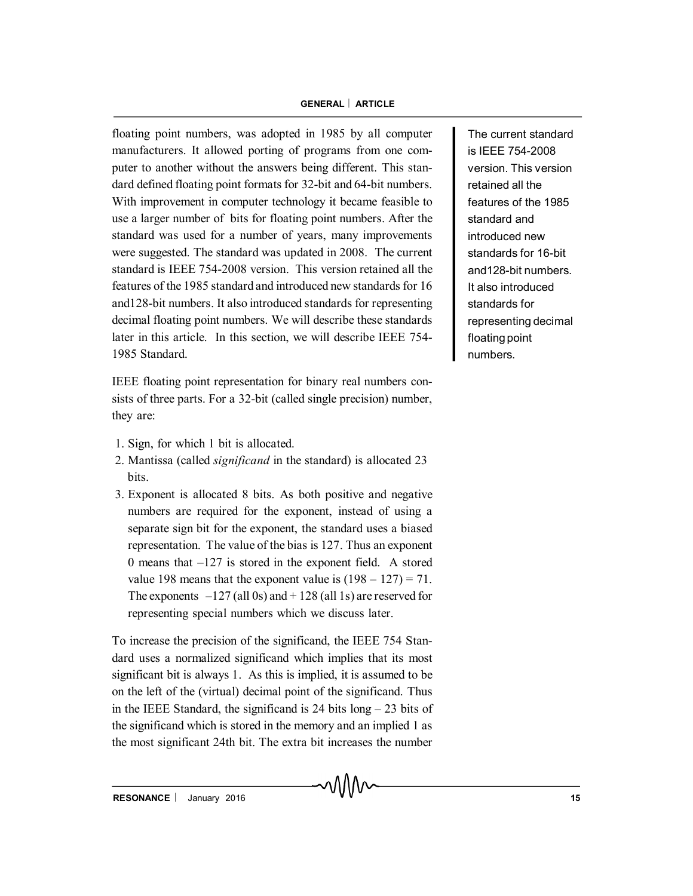floating point numbers, was adopted in 1985 by all computer manufacturers. It allowed porting of programs from one computer to another without the answers being different. This standard defined floating point formats for 32-bit and 64-bit numbers. With improvement in computer technology it became feasible to use a larger number of bits for floating point numbers. After the standard was used for a number of years, many improvements were suggested. The standard was updated in 2008. The current standard is IEEE 754-2008 version. This version retained all the features of the 1985 standard and introduced new standards for 16 and128-bit numbers. It also introduced standards for representing decimal floating point numbers. We will describe these standards later in this article. In this section, we will describe IEEE 754- 1985 Standard.

IEEE floating point representation for binary real numbers consists of three parts. For a 32-bit (called single precision) number, they are:

- 1. Sign, for which 1 bit is allocated.
- 2. Mantissa (called *significand* in the standard) is allocated 23 bits.
- 3. Exponent is allocated 8 bits. As both positive and negative numbers are required for the exponent, instead of using a separate sign bit for the exponent, the standard uses a biased representation. The value of the bias is 127. Thus an exponent 0 means that –127 is stored in the exponent field. A stored value 198 means that the exponent value is  $(198 – 127) = 71$ . The exponents  $-127$  (all 0s) and  $+128$  (all 1s) are reserved for representing special numbers which we discuss later.

To increase the precision of the significand, the IEEE 754 Standard uses a normalized significand which implies that its most significant bit is always 1. As this is implied, it is assumed to be on the left of the (virtual) decimal point of the significand. Thus in the IEEE Standard, the significand is 24 bits long – 23 bits of the significand which is stored in the memory and an implied 1 as the most significant 24th bit. The extra bit increases the number

The current standard is IEEE 754-2008 version. This version retained all the features of the 1985 standard and introduced new standards for 16-bit and128-bit numbers. It also introduced standards for representing decimal floating point numbers.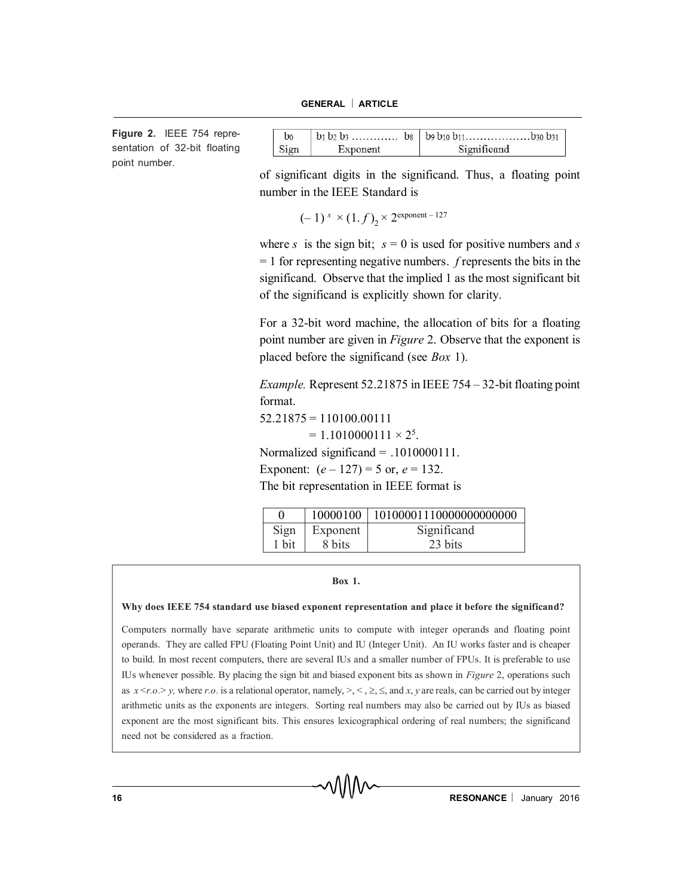**Figure 2.** IEEE 754 representation of 32-bit floating point number.

| Sign | Exponent | Significand |
|------|----------|-------------|

of significant digits in the significand. Thus, a floating point number in the IEEE Standard is

 $(-1)^s \times (1.f)_2 \times 2^{\text{exponent} - 127}$ 

where *s* is the sign bit;  $s = 0$  is used for positive numbers and *s* = 1 for representing negative numbers. *f* represents the bits in the significand. Observe that the implied 1 as the most significant bit of the significand is explicitly shown for clarity.

For a 32-bit word machine, the allocation of bits for a floating point number are given in *Figure* 2. Observe that the exponent is placed before the significand (see *Box* 1).

*Example.* Represent 52.21875 in IEEE 754 – 32-bit floating point format.  $52.21875 = 110100.00111$ 

 $= 1.1010000111 \times 2^5$ .

Normalized significand = .1010000111.

Exponent:  $(e - 127) = 5$  or,  $e = 132$ .

The bit representation in IEEE format is

|       |          | 10000100   10100001110000000000000 |
|-------|----------|------------------------------------|
| Sign  | Exponent | Significand                        |
| 1 bit | 8 bits   | 23 bits                            |

#### **Box 1.**

#### **Why does IEEE 754 standard use biased exponent representation and place it before the significand?**

Computers normally have separate arithmetic units to compute with integer operands and floating point operands. They are called FPU (Floating Point Unit) and IU (Integer Unit). An IU works faster and is cheaper to build. In most recent computers, there are several IUs and a smaller number of FPUs. It is preferable to use IUs whenever possible. By placing the sign bit and biased exponent bits as shown in *Figure* 2, operations such as  $x \le r.o.$  > *y*, where *r.o.* is a relational operator, namely,  $\ge$ ,  $\le$ ,  $\le$ ,  $\le$ , and *x*, *y* are reals, can be carried out by integer arithmetic units as the exponents are integers. Sorting real numbers may also be carried out by IUs as biased exponent are the most significant bits. This ensures lexicographical ordering of real numbers; the significand need not be considered as a fraction.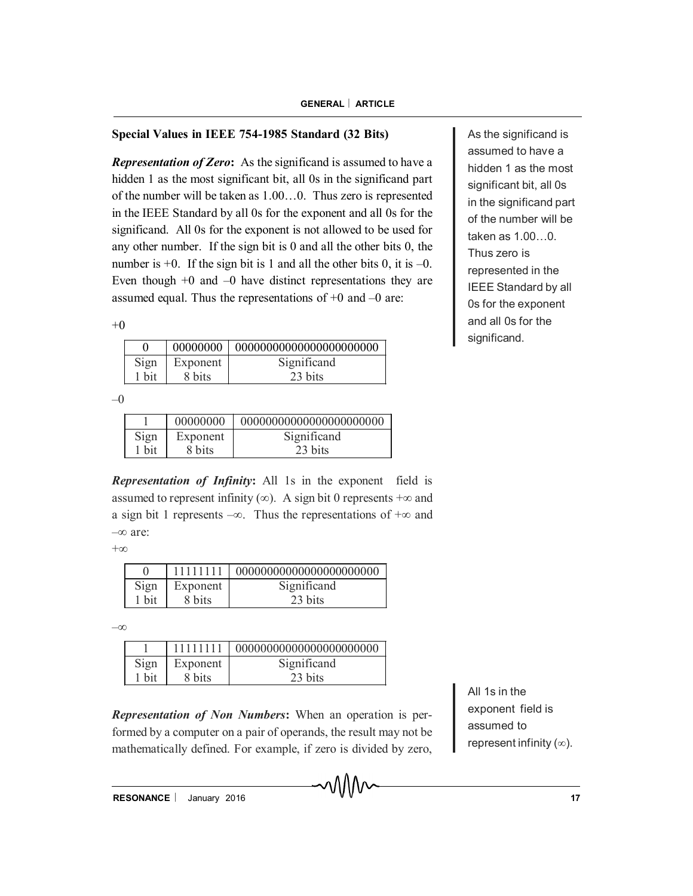## **Special Values in IEEE 754-1985 Standard (32 Bits)**

*Representation of Zero***:** As the significand is assumed to have a hidden 1 as the most significant bit, all 0s in the significand part of the number will be taken as 1.00…0. Thus zero is represented in the IEEE Standard by all 0s for the exponent and all 0s for the significand. All 0s for the exponent is not allowed to be used for any other number. If the sign bit is 0 and all the other bits 0, the number is  $+0$ . If the sign bit is 1 and all the other bits 0, it is  $-0$ . Even though  $+0$  and  $-0$  have distinct representations they are assumed equal. Thus the representations of  $+0$  and  $-0$  are:

 $+0$ 

|       |          | 00000000   0000000000000000000000000 |
|-------|----------|--------------------------------------|
| Sign  | Exponent | Significand                          |
| 1 bit | 8 bits   | 23 bits                              |

 $-0$ 

|       | 00000000 |             |
|-------|----------|-------------|
| Sign  | Exponent | Significand |
| 1 bit | 8 bits   | 23 bits     |

*Representation of Infinity***:** All 1s in the exponent field is assumed to represent infinity ( $\infty$ ). A sign bit 0 represents  $+\infty$  and a sign bit 1 represents  $-\infty$ . Thus the representations of  $+\infty$  and  $-\infty$  are:

 $+\infty$ 

| Sign  | Exponent | Significand |
|-------|----------|-------------|
| 1 bit | 8 bits   | 23 bits     |

 $-\infty$ 

|       | 11111111 | 0000000000000000000000000 |
|-------|----------|---------------------------|
| Sign  | Exponent | Significand               |
| l bit | 8 bits   | 23 bits                   |

*Representation of Non Numbers***:** When an operation is performed by a computer on a pair of operands, the result may not be mathematically defined. For example, if zero is divided by zero,

All 1s in the exponent field is assumed to represent infinity  $(\infty)$ .

As the significand is assumed to have a hidden 1 as the most significant bit, all 0s in the significand part of the number will be taken as 1.00…0. Thus zero is represented in the IEEE Standard by all 0s for the exponent and all 0s for the significand.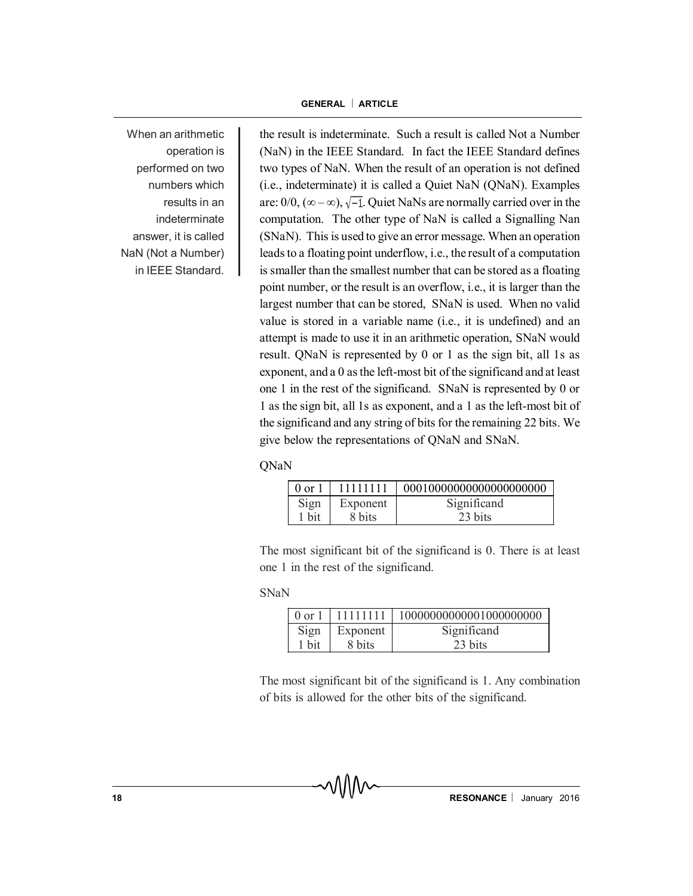When an arithmetic operation is performed on two numbers which results in an indeterminate answer, it is called NaN (Not a Number) in IEEE Standard.

the result is indeterminate. Such a result is called Not a Number (NaN) in the IEEE Standard. In fact the IEEE Standard defines two types of NaN. When the result of an operation is not defined (i.e., indeterminate) it is called a Quiet NaN (QNaN). Examples are:  $0/0$ ,  $(\infty - \infty)$ ,  $\sqrt{-1}$ . Quiet NaNs are normally carried over in the computation. The other type of NaN is called a Signalling Nan (SNaN). This is used to give an error message. When an operation leads to a floating point underflow, i.e., the result of a computation is smaller than the smallest number that can be stored as a floating point number, or the result is an overflow, i.e., it is larger than the largest number that can be stored, SNaN is used. When no valid value is stored in a variable name (i.e., it is undefined) and an attempt is made to use it in an arithmetic operation, SNaN would result. QNaN is represented by 0 or 1 as the sign bit, all 1s as exponent, and a 0 as the left-most bit of the significand and at least one 1 in the rest of the significand. SNaN is represented by 0 or 1 as the sign bit, all 1s as exponent, and a 1 as the left-most bit of the significand and any string of bits for the remaining 22 bits. We give below the representations of QNaN and SNaN.

QNaN

| $0 \text{ or } 1$ | 11111111 |             |
|-------------------|----------|-------------|
| Sign              | Exponent | Significand |
| 1 bit             | 8 bits   | 23 bits     |

The most significant bit of the significand is 0. There is at least one 1 in the rest of the significand.

SNaN

| $0 \text{ or } 1$ | 1111111   1 | 10000000000001000000000 |
|-------------------|-------------|-------------------------|
| Sign              | Exponent    | Significand             |
| 1 bit             | 8 bits      | 23 bits                 |

The most significant bit of the significand is 1. Any combination of bits is allowed for the other bits of the significand.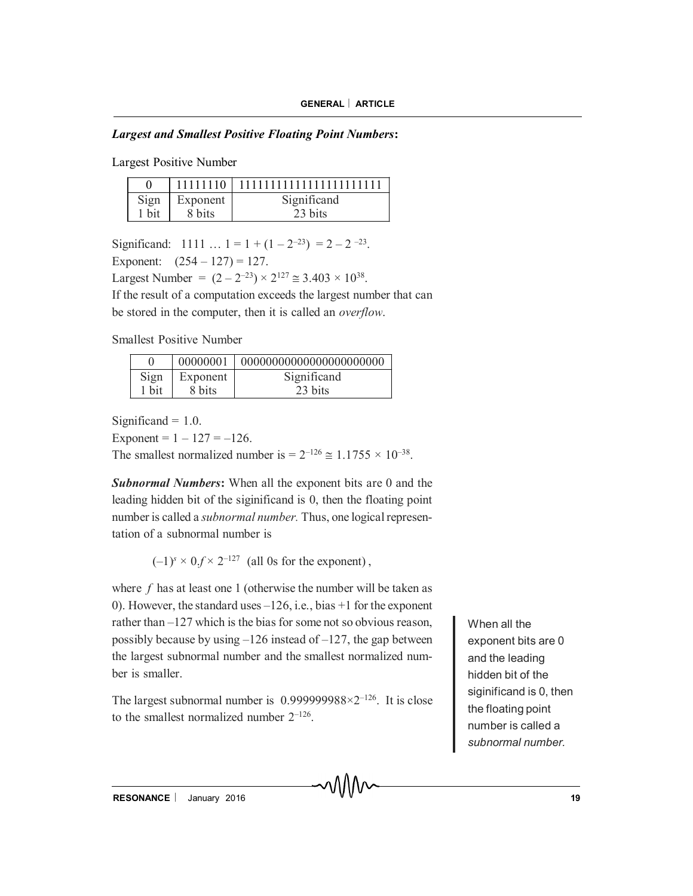## *Largest and Smallest Positive Floating Point Numbers***:**

Largest Positive Number

|       |          | 11111110   11111111111111111111111 |
|-------|----------|------------------------------------|
| Sign  | Exponent | Significand                        |
| 1 bit | 8 bits   | 23 bits                            |

Significand:  $1111... 1 = 1 + (1 - 2^{-23}) = 2 - 2^{-23}$ .

Exponent:  $(254 - 127) = 127$ .

Largest Number =  $(2 - 2^{-23}) \times 2^{127} \approx 3.403 \times 10^{38}$ .

If the result of a computation exceeds the largest number that can be stored in the computer, then it is called an *overflow*.

Smallest Positive Number

|       |          | 00000001   000000000000000000000000 |
|-------|----------|-------------------------------------|
| Sign  | Exponent | Significand                         |
| 1 bit | 8 bits   | 23 bits                             |

Significand  $= 1.0$ .

Exponent =  $1 - 127 = -126$ .

The smallest normalized number is  $= 2^{-126} \approx 1.1755 \times 10^{-38}$ .

*Subnormal Numbers***:** When all the exponent bits are 0 and the leading hidden bit of the siginificand is 0, then the floating point number is called a *subnormal number.* Thus, one logical representation of a subnormal number is

 $(-1)^s \times 0.f \times 2^{-127}$  (all 0s for the exponent).

where *f* has at least one 1 (otherwise the number will be taken as 0). However, the standard uses –126, i.e., bias +1 for the exponent rather than –127 which is the bias for some not so obvious reason, possibly because by using  $-126$  instead of  $-127$ , the gap between the largest subnormal number and the smallest normalized number is smaller.

The largest subnormal number is  $0.999999988 \times 2^{-126}$ . It is close to the smallest normalized number  $2^{-126}$ .

When all the exponent bits are 0 and the leading hidden bit of the siginificand is 0, then the floating point number is called a *subnormal number.*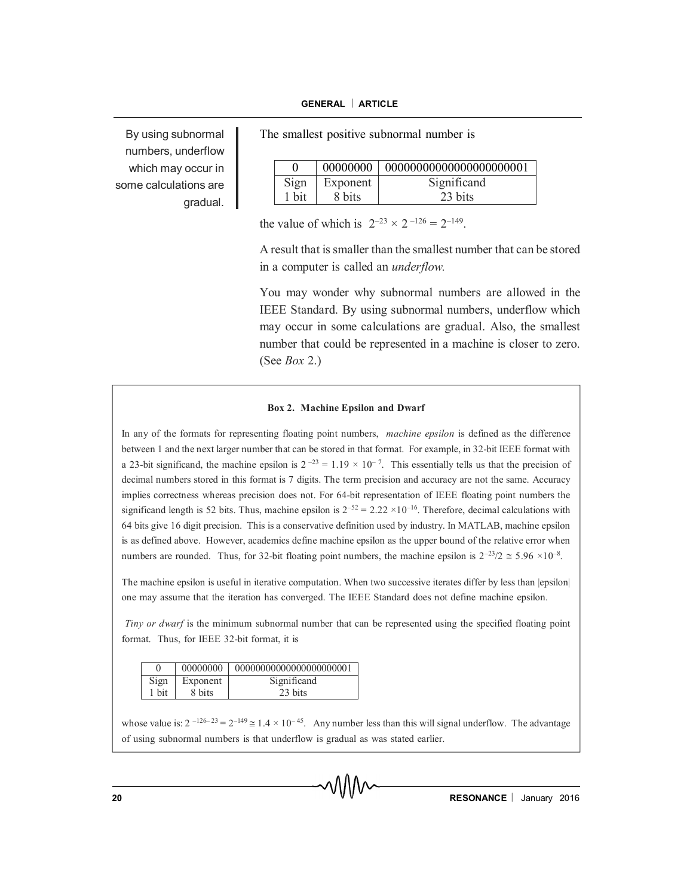By using subnormal numbers, underflow which may occur in some calculations are gradual.

The smallest positive subnormal number is

|       | 00000000 | 000000000000000000000001 |
|-------|----------|--------------------------|
| Sign  | Exponent | Significand              |
| 1 bit | 8 bits   | 23 bits                  |

the value of which is  $2^{-23} \times 2^{-126} = 2^{-149}$ .

A result that is smaller than the smallest number that can be stored in a computer is called an *underflow.*

You may wonder why subnormal numbers are allowed in the IEEE Standard. By using subnormal numbers, underflow which may occur in some calculations are gradual. Also, the smallest number that could be represented in a machine is closer to zero. (See *Box* 2.)

#### **Box 2. Machine Epsilon and Dwarf**

In any of the formats for representing floating point numbers, *machine epsilon* is defined as the difference between 1 and the next larger number that can be stored in that format. For example, in 32-bit IEEE format with a 23-bit significand, the machine epsilon is  $2^{-23} = 1.19 \times 10^{-7}$ . This essentially tells us that the precision of decimal numbers stored in this format is 7 digits. The term precision and accuracy are not the same. Accuracy implies correctness whereas precision does not. For 64-bit representation of IEEE floating point numbers the significand length is 52 bits. Thus, machine epsilon is  $2^{-52} = 2.22 \times 10^{-16}$ . Therefore, decimal calculations with 64 bits give 16 digit precision. This is a conservative definition used by industry. In MATLAB, machine epsilon is as defined above. However, academics define machine epsilon as the upper bound of the relative error when numbers are rounded. Thus, for 32-bit floating point numbers, the machine epsilon is  $2^{-23}/2 \approx 5.96 \times 10^{-8}$ .

The machine epsilon is useful in iterative computation. When two successive iterates differ by less than  $|epsilon|$ one may assume that the iteration has converged. The IEEE Standard does not define machine epsilon.

*Tiny or dwarf* is the minimum subnormal number that can be represented using the specified floating point format. Thus, for IEEE 32-bit format, it is

|       | 00000000 | 00000000000000000000001 |
|-------|----------|-------------------------|
| Sign  | Exponent | Significand             |
| 1 bit | 8 bits   | 23 bits                 |

whose value is:  $2^{-126-23} = 2^{-149} \approx 1.4 \times 10^{-45}$ . Any number less than this will signal underflow. The advantage of using subnormal numbers is that underflow is gradual as was stated earlier.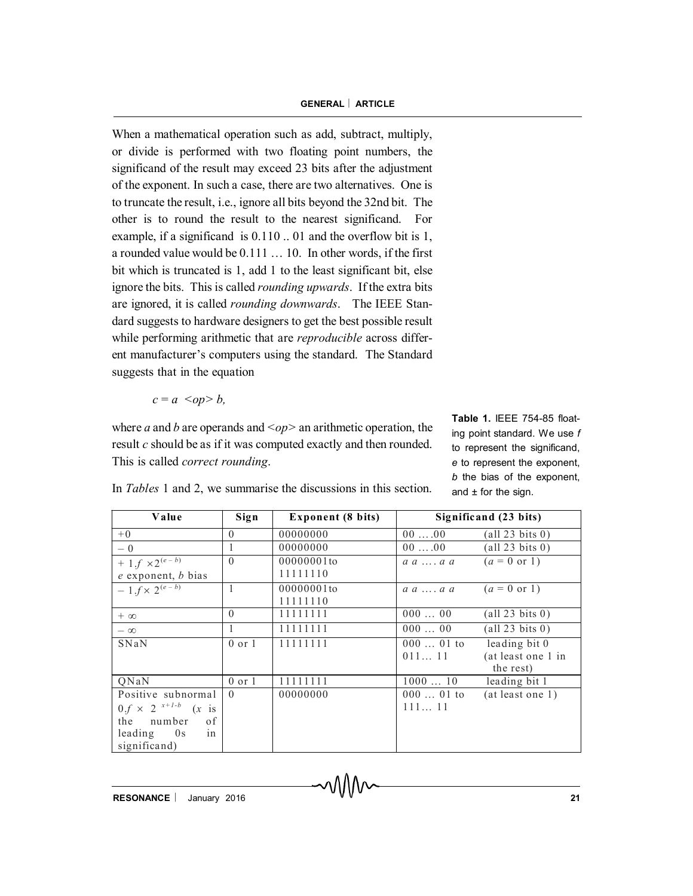When a mathematical operation such as add, subtract, multiply, or divide is performed with two floating point numbers, the significand of the result may exceed 23 bits after the adjustment of the exponent. In such a case, there are two alternatives. One is to truncate the result, i.e., ignore all bits beyond the 32nd bit. The other is to round the result to the nearest significand. For example, if a significand is 0.110 .. 01 and the overflow bit is 1, a rounded value would be 0.111 … 10. In other words, if the first bit which is truncated is 1, add 1 to the least significant bit, else ignore the bits. This is called *rounding upwards*. If the extra bits are ignored, it is called *rounding downwards*. The IEEE Standard suggests to hardware designers to get the best possible result while performing arithmetic that are *reproducible* across different manufacturer's computers using the standard. The Standard suggests that in the equation

$$
c = a <\!>op
$$

where *a* and *b* are operands and  $\langle op \rangle$  an arithmetic operation, the result *c* should be as if it was computed exactly and then rounded. This is called *correct rounding*.

**Table 1.** IEEE 754-85 floating point standard. We use *f* to represent the significand, *e* to represent the exponent, *b* the bias of the exponent, and  $\pm$  for the sign.

| Value                             | Sign       | <b>Exponent (8 bits)</b> | Significand (23 bits)        |                          |
|-----------------------------------|------------|--------------------------|------------------------------|--------------------------|
| $+0$                              | $\Omega$   | 00000000                 | $00 \ldots 00$               | $\text{(all 23 bits 0)}$ |
| $-0$                              |            | 00000000                 | $00 \ldots 00$               | $\text{(all 23 bits 0)}$ |
| + 1. $f \times 2^{(e - b)}$       | $\Omega$   | 00000001to               | $a \ a \  \ a \ a$           | $(a = 0 \text{ or } 1)$  |
| $e$ exponent, $b$ bias            |            | 11111110                 |                              |                          |
| $-1.f \times 2^{(e-b)}$           |            | 00000001to               | $a \, a \, \ldots \, a \, a$ | $(a = 0 \text{ or } 1)$  |
|                                   |            | 11111110                 |                              |                          |
| $+ \infty$                        | $\theta$   | 11111111                 | 00000                        | $\text{(all 23 bits 0)}$ |
| $-\infty$                         |            | 11111111                 | 00000                        | $\text{(all 23 bits 0)}$ |
| SNaN                              | $0$ or $1$ | 11111111                 | $00001$ to                   | leading bit 0            |
|                                   |            |                          | 01111                        | (at least one 1 in       |
|                                   |            |                          |                              | the rest)                |
| QNaN                              | $0$ or $1$ | 11111111                 | 100010                       | leading bit 1            |
| Positive subnormal                | $\Omega$   | 00000000                 | $00001$ to                   | (at least one 1)         |
| $0.f \times 2^{x+1-b}$<br>$(x$ is |            |                          | 11111                        |                          |
| the<br>number<br>of               |            |                          |                              |                          |
| in<br>leading<br>0s               |            |                          |                              |                          |
| significand)                      |            |                          |                              |                          |

In *Tables* 1 and 2, we summarise the discussions in this section.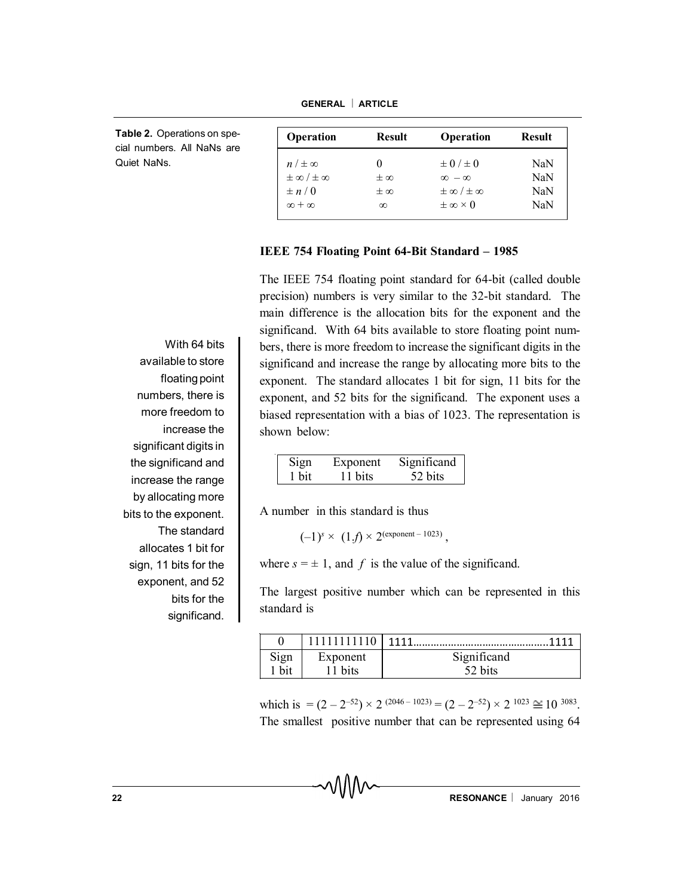**Table 2.** Operations on special numbers. All NaNs are Quiet NaNs.

| Operation                 | <b>Result</b> | Operation                 | <b>Result</b> |
|---------------------------|---------------|---------------------------|---------------|
| $n \neq \infty$           |               | $\pm$ 0 / $\pm$ 0         | NaN           |
| $\pm \infty / \pm \infty$ | $\pm \infty$  | $\infty - \infty$         | NaN           |
| $\pm n/0$                 | $\pm \infty$  | $\pm \infty / \pm \infty$ | NaN           |
| $\infty + \infty$         | $\infty$      | $\pm \infty \times 0$     | NaN           |
|                           |               |                           |               |

#### **IEEE 754 Floating Point 64-Bit Standard – 1985**

The IEEE 754 floating point standard for 64-bit (called double precision) numbers is very similar to the 32-bit standard. The main difference is the allocation bits for the exponent and the significand. With 64 bits available to store floating point numbers, there is more freedom to increase the significant digits in the significand and increase the range by allocating more bits to the exponent. The standard allocates 1 bit for sign, 11 bits for the exponent, and 52 bits for the significand. The exponent uses a biased representation with a bias of 1023. The representation is shown below:

| Sign  | Exponent | Significand |
|-------|----------|-------------|
| 1 bit | 11 bits  | 52 bits     |

A number in this standard is thus

 $(-1)^s \times (1.f) \times 2^{\text{(exponent - 1023)}}$ ,

where  $s = \pm 1$ , and f is the value of the significand.

The largest positive number which can be represented in this standard is

|      |          | 1111<br>    |
|------|----------|-------------|
| Sign | Exponent | Significand |
| bit  | 11 bits  |             |

which is  $= (2 - 2^{-52}) \times 2^{(2046 - 1023)} = (2 - 2^{-52}) \times 2^{1023} \approx 10^{3083}$ . The smallest positive number that can be represented using 64

With 64 bits available to store floating point numbers, there is more freedom to increase the significant digits in the significand and increase the range by allocating more bits to the exponent. The standard allocates 1 bit for sign, 11 bits for the exponent, and 52 bits for the significand.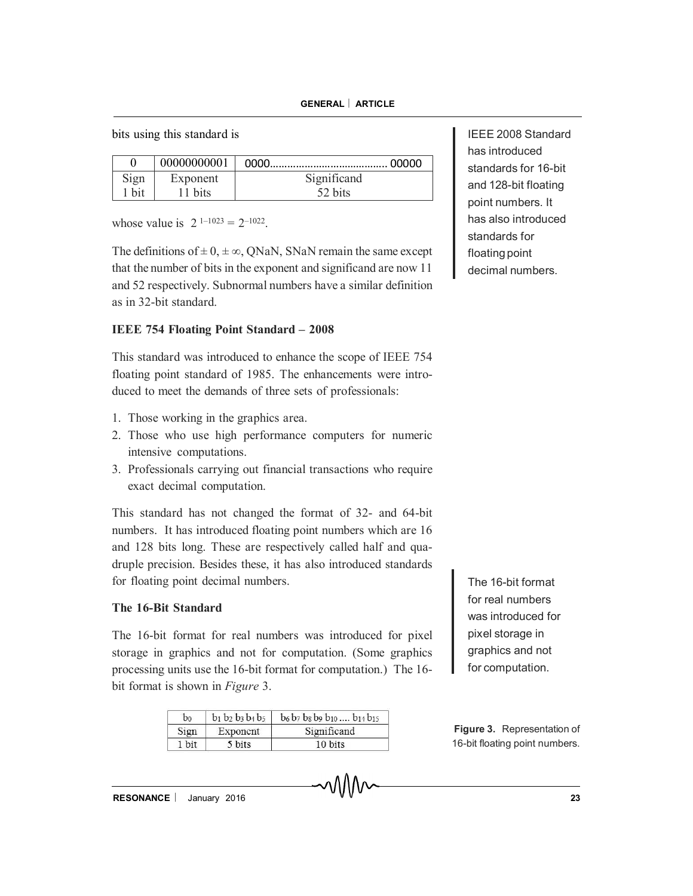bits using this standard is

|       | 00000000001 |             |
|-------|-------------|-------------|
| Sign  | Exponent    | Significand |
| 1 bit | 11 bits     | 52 bits     |

whose value is  $2^{1-1023} = 2^{-1022}$ .

The definitions of  $\pm 0$ ,  $\pm \infty$ , QNaN, SNaN remain the same except that the number of bits in the exponent and significand are now 11 and 52 respectively. Subnormal numbers have a similar definition as in 32-bit standard.

## **IEEE 754 Floating Point Standard – 2008**

This standard was introduced to enhance the scope of IEEE 754 floating point standard of 1985. The enhancements were introduced to meet the demands of three sets of professionals:

- 1. Those working in the graphics area.
- 2. Those who use high performance computers for numeric intensive computations.
- 3. Professionals carrying out financial transactions who require exact decimal computation.

This standard has not changed the format of 32- and 64-bit numbers. It has introduced floating point numbers which are 16 and 128 bits long. These are respectively called half and quadruple precision. Besides these, it has also introduced standards for floating point decimal numbers.

## **The 16-Bit Standard**

The 16-bit format for real numbers was introduced for pixel storage in graphics and not for computation. (Some graphics processing units use the 16-bit format for computation.) The 16 bit format is shown in *Figure* 3.

| bo    | $b_1$ $b_2$ $b_3$ $b_4$ $b_5$ | $b_6 b_7 b_8 b_9 b_{10} \dots b_{14} b_{15}$ |
|-------|-------------------------------|----------------------------------------------|
| Sign  | Exponent                      | Significand                                  |
| 1 bit | 5 bits                        | 10 bits                                      |

IEEE 2008 Standard has introduced standards for 16-bit and 128-bit floating point numbers. It has also introduced standards for floating point decimal numbers.

The 16-bit format for real numbers was introduced for pixel storage in graphics and not for computation.

**Figure 3.** Representation of 16-bit floating point numbers.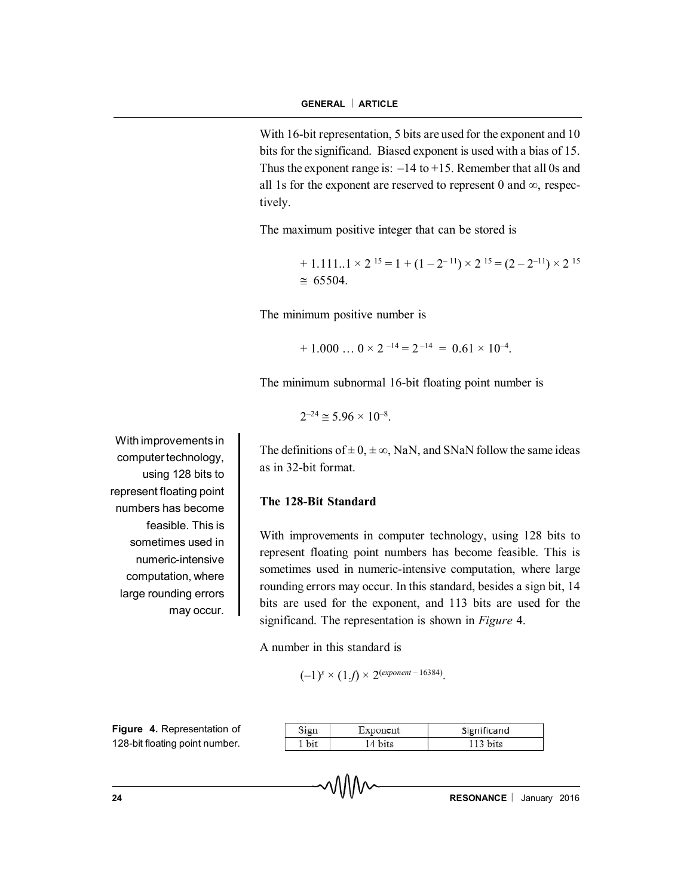With 16-bit representation, 5 bits are used for the exponent and 10 bits for the significand. Biased exponent is used with a bias of 15. Thus the exponent range is:  $-14$  to  $+15$ . Remember that all 0s and all 1s for the exponent are reserved to represent 0 and  $\infty$ , respectively.

The maximum positive integer that can be stored is

 $+ 1.111...1 \times 2^{15} = 1 + (1 - 2^{-11}) \times 2^{15} = (2 - 2^{-11}) \times 2^{15}$  $\approx 65504$ 

The minimum positive number is

 $+ 1.000...$   $0 \times 2^{-14} = 2^{-14} = 0.61 \times 10^{-4}$ .

The minimum subnormal 16-bit floating point number is

$$
2^{-24} \cong 5.96 \times 10^{-8}.
$$

The definitions of  $\pm 0$ ,  $\pm \infty$ , NaN, and SNaN follow the same ideas as in 32-bit format.

#### **The 128-Bit Standard**

With improvements in computer technology, using 128 bits to represent floating point numbers has become feasible. This is sometimes used in numeric-intensive computation, where large rounding errors may occur. In this standard, besides a sign bit, 14 bits are used for the exponent, and 113 bits are used for the significand. The representation is shown in *Figure* 4.

A number in this standard is

 $(-1)^s \times (1.f) \times 2^{(exponent - 16384)}.$ 

| Exponent | Significand |
|----------|-------------|
|          |             |

With improvements in computer technology, using 128 bits to represent floating point numbers has become feasible. This is sometimes used in numeric-intensive computation, where large rounding errors may occur.

**Figure 4.** Representation of 128-bit floating point number.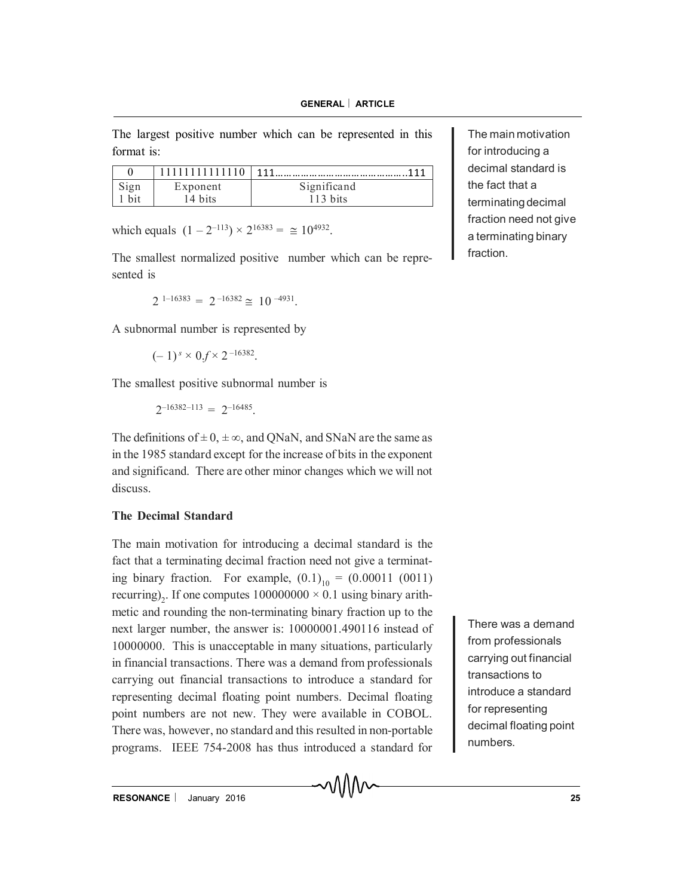The largest positive number which can be represented in this format is:

|      | .        | 111<br>.    |
|------|----------|-------------|
| Sign | Exponent | Significand |
|      | 4 bits   | 113 bits    |

which equals  $(1 - 2^{-113}) \times 2^{16383} = \approx 10^{4932}$ .

The smallest normalized positive number which can be represented is

 $2^{1-16383} = 2^{-16382} \approx 10^{-4931}.$ 

A subnormal number is represented by

$$
(-1)^s \times 0.f \times 2^{-16382}
$$
.

The smallest positive subnormal number is

 $2^{-16382-113} = 2^{-16485}.$ 

The definitions of  $\pm 0$ ,  $\pm \infty$ , and QNaN, and SNaN are the same as in the 1985 standard except for the increase of bits in the exponent and significand. There are other minor changes which we will not discuss.

## **The Decimal Standard**

The main motivation for introducing a decimal standard is the fact that a terminating decimal fraction need not give a terminating binary fraction. For example,  $(0.1)_{10} = (0.00011 \ (0011)$ recurring)<sub>2</sub>. If one computes  $100000000 \times 0.1$  using binary arithmetic and rounding the non-terminating binary fraction up to the next larger number, the answer is: 10000001.490116 instead of 10000000. This is unacceptable in many situations, particularly in financial transactions. There was a demand from professionals carrying out financial transactions to introduce a standard for representing decimal floating point numbers. Decimal floating point numbers are not new. They were available in COBOL. There was, however, no standard and this resulted in non-portable programs. IEEE 754-2008 has thus introduced a standard for

The main motivation for introducing a decimal standard is the fact that a terminating decimal fraction need not give a terminating binary fraction.

There was a demand from professionals carrying out financial transactions to introduce a standard for representing decimal floating point numbers.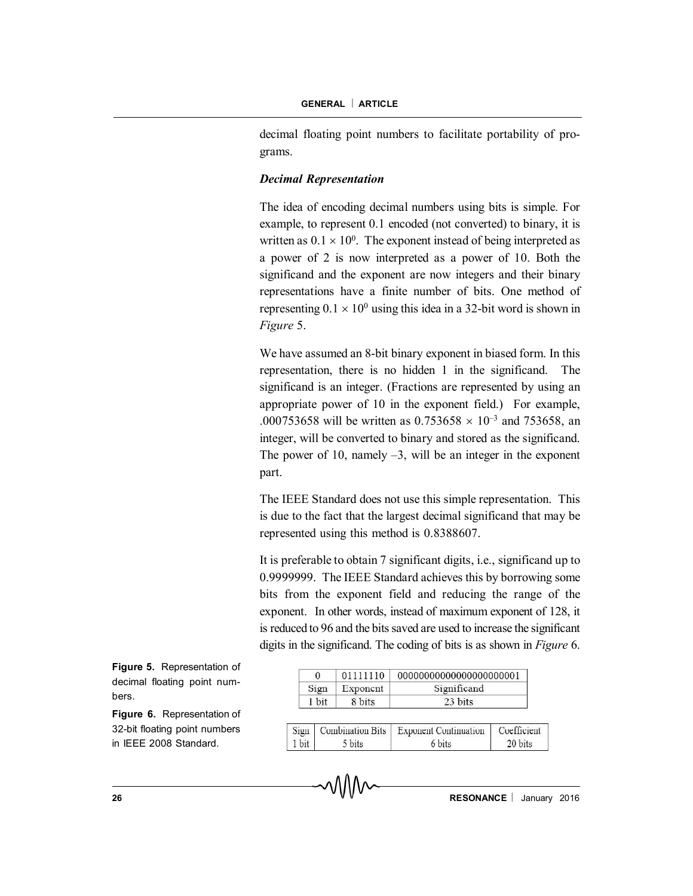decimal floating point numbers to facilitate portability of programs.

## *Decimal Representation*

The idea of encoding decimal numbers using bits is simple. For example, to represent 0.1 encoded (not converted) to binary, it is written as  $0.1 \times 10^0$ . The exponent instead of being interpreted as a power of 2 is now interpreted as a power of 10. Both the significand and the exponent are now integers and their binary representations have a finite number of bits. One method of representing  $0.1 \times 10^0$  using this idea in a 32-bit word is shown in *Figure* 5.

We have assumed an 8-bit binary exponent in biased form. In this representation, there is no hidden 1 in the significand. The significand is an integer. (Fractions are represented by using an appropriate power of 10 in the exponent field.) For example, .000753658 will be written as  $0.753658 \times 10^{-3}$  and 753658, an integer, will be converted to binary and stored as the significand. The power of 10, namely  $-3$ , will be an integer in the exponent part.

The IEEE Standard does not use this simple representation. This is due to the fact that the largest decimal significand that may be represented using this method is 0.8388607.

It is preferable to obtain 7 significant digits, i.e., significand up to 0.9999999. The IEEE Standard achieves this by borrowing some bits from the exponent field and reducing the range of the exponent. In other words, instead of maximum exponent of 128, it is reduced to 96 and the bits saved are used to increase the significant digits in the significand. The coding of bits is as shown in *Figure* 6.

**Figure 5.** Representation of decimal floating point numbers.

**Figure 6.** Representation of 32-bit floating point numbers in IEEE 2008 Standard.

| 0     | 01111110 | 00000000000000000000001 |
|-------|----------|-------------------------|
| Sign  | Exponent | Significand             |
| 1 bit | 8 bits   | 23 bits                 |

|       |        | Sign   Combination Bits   Exponent Continuation   Coefficient |  |
|-------|--------|---------------------------------------------------------------|--|
| 1 bit | 5 bits | 6 bits                                                        |  |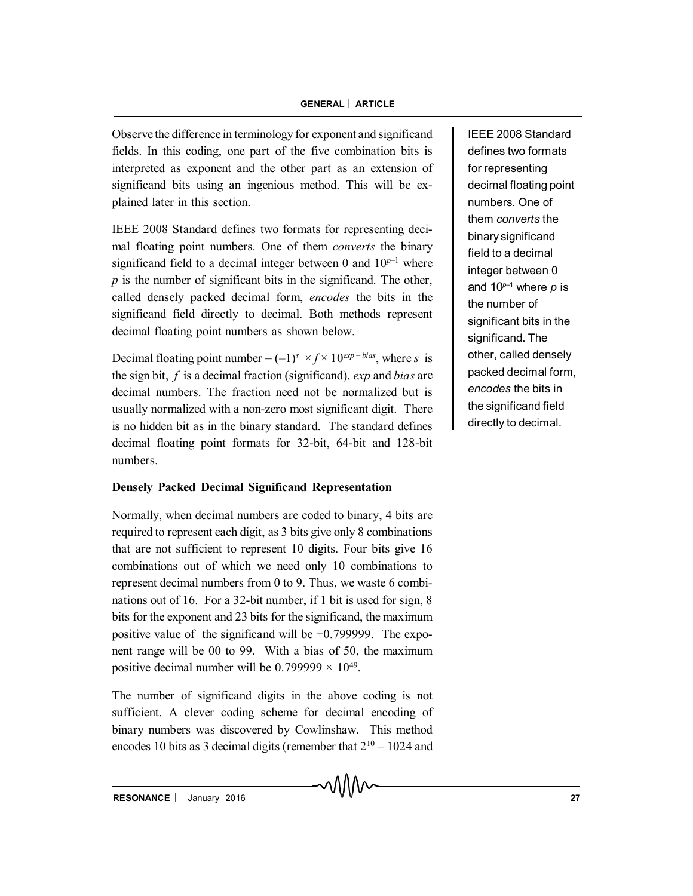Observe the difference in terminology for exponent and significand fields. In this coding, one part of the five combination bits is interpreted as exponent and the other part as an extension of significand bits using an ingenious method. This will be explained later in this section.

IEEE 2008 Standard defines two formats for representing decimal floating point numbers. One of them *converts* the binary significand field to a decimal integer between 0 and  $10^{p-1}$  where *p* is the number of significant bits in the significand. The other, called densely packed decimal form, *encodes* the bits in the significand field directly to decimal. Both methods represent decimal floating point numbers as shown below.

Decimal floating point number  $=(-1)^s \times f \times 10^{exp-bias}$ , where *s* is the sign bit, *f* is a decimal fraction (significand), *exp* and *bias* are decimal numbers. The fraction need not be normalized but is usually normalized with a non-zero most significant digit. There is no hidden bit as in the binary standard. The standard defines decimal floating point formats for 32-bit, 64-bit and 128-bit numbers.

# **Densely Packed Decimal Significand Representation**

Normally, when decimal numbers are coded to binary, 4 bits are required to represent each digit, as 3 bits give only 8 combinations that are not sufficient to represent 10 digits. Four bits give 16 combinations out of which we need only 10 combinations to represent decimal numbers from 0 to 9. Thus, we waste 6 combinations out of 16. For a 32-bit number, if 1 bit is used for sign, 8 bits for the exponent and 23 bits for the significand, the maximum positive value of the significand will be  $+0.799999$ . The exponent range will be 00 to 99. With a bias of 50, the maximum positive decimal number will be  $0.799999 \times 10^{49}$ .

The number of significand digits in the above coding is not sufficient. A clever coding scheme for decimal encoding of binary numbers was discovered by Cowlinshaw. This method encodes 10 bits as 3 decimal digits (remember that  $2^{10} = 1024$  and IEEE 2008 Standard defines two formats for representing decimal floating point numbers. One of them *converts* the binary significand field to a decimal integer between 0 and 10*<sup>p</sup>*–1 where *p* is the number of significant bits in the significand. The other, called densely packed decimal form, *encodes* the bits in the significand field directly to decimal.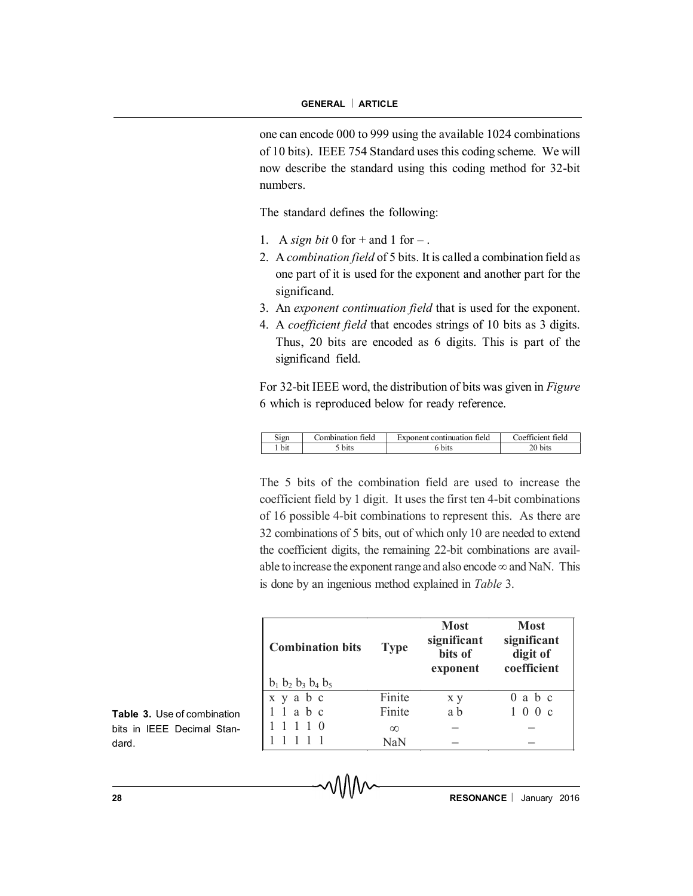one can encode 000 to 999 using the available 1024 combinations of 10 bits). IEEE 754 Standard uses this coding scheme. We will now describe the standard using this coding method for 32-bit numbers.

The standard defines the following:

- 1. A *sign bit* 0 for  $+$  and 1 for  $-$ .
- 2. A *combination field* of 5 bits. It is called a combination field as one part of it is used for the exponent and another part for the significand.
- 3. An *exponent continuation field* that is used for the exponent.
- 4. A *coefficient field* that encodes strings of 10 bits as 3 digits. Thus, 20 bits are encoded as 6 digits. This is part of the significand field.

For 32-bit IEEE word, the distribution of bits was given in *Figure* 6 which is reproduced below for ready reference.

| Sign | Combination field | Exponent continuation field | Coefficient field      |
|------|-------------------|-----------------------------|------------------------|
| bit  | bits              | bits                        | $\gamma_{\text{bits}}$ |

The 5 bits of the combination field are used to increase the coefficient field by 1 digit. It uses the first ten 4-bit combinations of 16 possible 4-bit combinations to represent this. As there are 32 combinations of 5 bits, out of which only 10 are needed to extend the coefficient digits, the remaining 22-bit combinations are available to increase the exponent range and also encode  $\infty$  and NaN. This is done by an ingenious method explained in *Table* 3.

| <b>Combination bits</b>       | <b>Type</b> | <b>Most</b><br>significant<br>bits of<br>exponent | <b>Most</b><br>significant<br>digit of<br>coefficient |
|-------------------------------|-------------|---------------------------------------------------|-------------------------------------------------------|
| $b_1$ $b_2$ $b_3$ $b_4$ $b_5$ |             |                                                   |                                                       |
| x y a b c                     | Finite      | x y                                               | $0$ a $b$ c                                           |
| 1 1 a b c                     | Finite      | a b                                               | 100c                                                  |
| 1110                          | $\infty$    |                                                   |                                                       |
|                               | NaN         |                                                   |                                                       |

**Table 3.** Use of combination bits in IEEE Decimal Standard.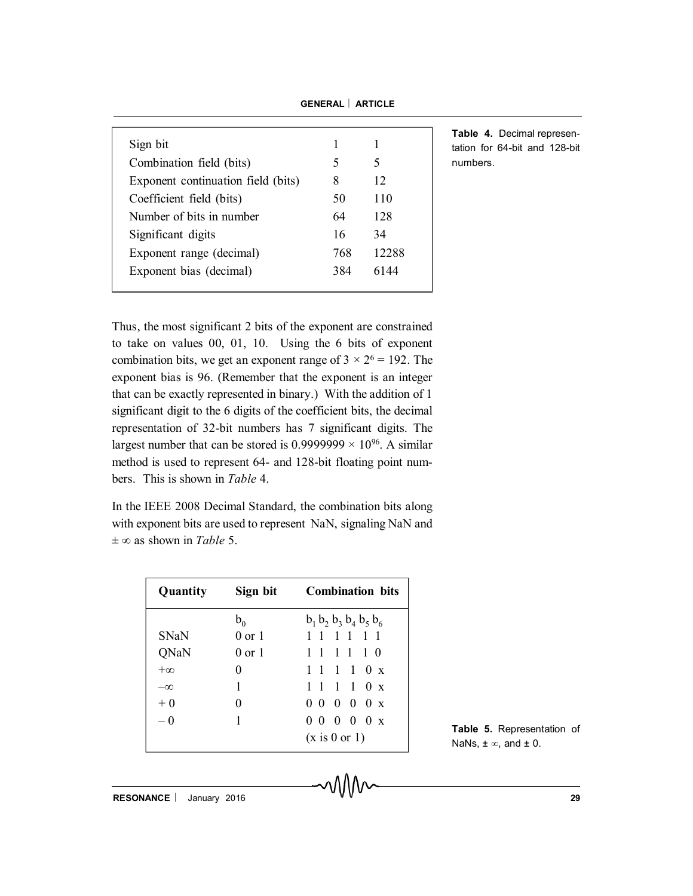| Sign bit                           |     |       |
|------------------------------------|-----|-------|
| Combination field (bits)           | 5   | 5     |
| Exponent continuation field (bits) | 8   | 12    |
| Coefficient field (bits)           | 50  | 110   |
| Number of bits in number           | 64  | 128   |
| Significant digits                 | 16  | 34    |
| Exponent range (decimal)           | 768 | 12288 |
| Exponent bias (decimal)            | 384 | 6144  |
|                                    |     |       |

**Table 4.** Decimal representation for 64-bit and 128-bit numbers.

Thus, the most significant 2 bits of the exponent are constrained to take on values 00, 01, 10. Using the 6 bits of exponent combination bits, we get an exponent range of  $3 \times 2^6 = 192$ . The exponent bias is 96. (Remember that the exponent is an integer that can be exactly represented in binary.) With the addition of 1 significant digit to the 6 digits of the coefficient bits, the decimal representation of 32-bit numbers has 7 significant digits. The largest number that can be stored is  $0.9999999 \times 10^{96}$ . A similar method is used to represent 64- and 128-bit floating point numbers. This is shown in *Table* 4.

In the IEEE 2008 Decimal Standard, the combination bits along with exponent bits are used to represent NaN, signaling NaN and  $\pm \infty$  as shown in *Table* 5.

| Quantity    | Sign bit          | <b>Combination</b> bits                       |  |
|-------------|-------------------|-----------------------------------------------|--|
|             | $b_{0}$           | $b_1$ , $b_2$ , $b_3$ , $b_4$ , $b_5$ , $b_6$ |  |
| <b>SNaN</b> | $0$ or $1$        | 1 1 1 1 1 1                                   |  |
| QNaN        | $0 \text{ or } 1$ | 1 1 1 1 1 0                                   |  |
| $+\infty$   | 0                 | 1 1 1 1 0 x                                   |  |
| $-\infty$   | 1                 | 1 1 1 1 0 x                                   |  |
| $+0$        | $\Omega$          | $00000 \times$                                |  |
| $-0$        | 1                 | 0 0 0 0 0 x                                   |  |
|             |                   | (x is 0 or 1)                                 |  |

**Table 5.** Representation of NaNs,  $\pm \infty$ , and  $\pm 0$ .